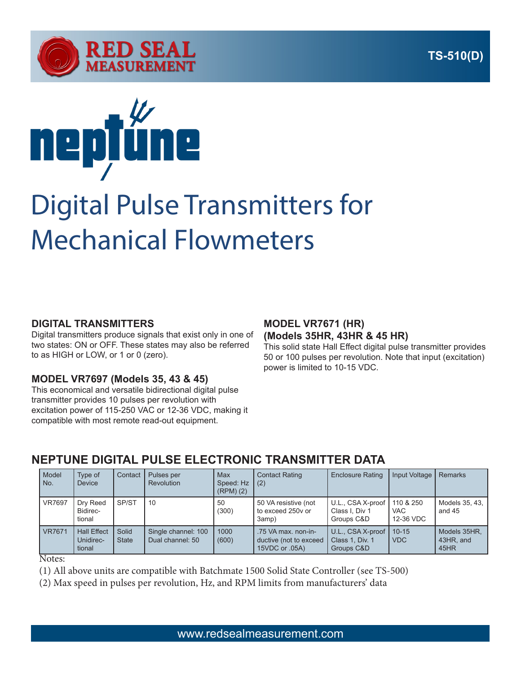



# Digital Pulse Transmitters for Mechanical Flowmeters

#### **DIGITAL TRANSMITTERS**

Digital transmitters produce signals that exist only in one of two states: ON or OFF. These states may also be referred to as HIGH or LOW, or 1 or 0 (zero).

### **MODEL VR7697 (Models 35, 43 & 45)**

This economical and versatile bidirectional digital pulse transmitter provides 10 pulses per revolution with excitation power of 115-250 VAC or 12-36 VDC, making it compatible with most remote read-out equipment.

#### **MODEL VR7671 (HR) (Models 35HR, 43HR & 45 HR)**

This solid state Hall Effect digital pulse transmitter provides 50 or 100 pulses per revolution. Note that input (excitation) power is limited to 10-15 VDC.

## **NEPTUNE DIGITAL PULSE ELECTRONIC TRANSMITTER DATA**

| Model<br>No.  | Type of<br><b>Device</b>                  | Contact               | Pulses per<br>Revolution                | Max<br>Speed: Hz<br>$(RPM)$ $(2)$ | <b>Contact Rating</b><br>(2)                                    | <b>Enclosure Rating</b>                            | Input Voltage                        | <b>Remarks</b>                    |
|---------------|-------------------------------------------|-----------------------|-----------------------------------------|-----------------------------------|-----------------------------------------------------------------|----------------------------------------------------|--------------------------------------|-----------------------------------|
| <b>VR7697</b> | Dry Reed<br>Bidirec-<br>tional            | SP/ST                 | -10                                     | 50<br>(300)                       | 50 VA resistive (not<br>to exceed 250y or<br>3amp)              | U.L., CSA X-proof<br>Class I, Div 1<br>Groups C&D  | 110 & 250<br><b>VAC</b><br>12-36 VDC | Models 35, 43,<br>and $45$        |
| <b>VR7671</b> | <b>Hall Effect</b><br>Unidirec-<br>tional | Solid<br><b>State</b> | Single channel: 100<br>Dual channel: 50 | 1000<br>(600)                     | .75 VA max, non-in-<br>ductive (not to exceed<br>15VDC or .05A) | U.L., CSA X-proof<br>Class 1, Div. 1<br>Groups C&D | $10 - 15$<br><b>VDC</b>              | Models 35HR,<br>43HR, and<br>45HR |

Notes:

(1) All above units are compatible with Batchmate 1500 Solid State Controller (see TS-500)

(2) Max speed in pulses per revolution, Hz, and RPM limits from manufacturers' data